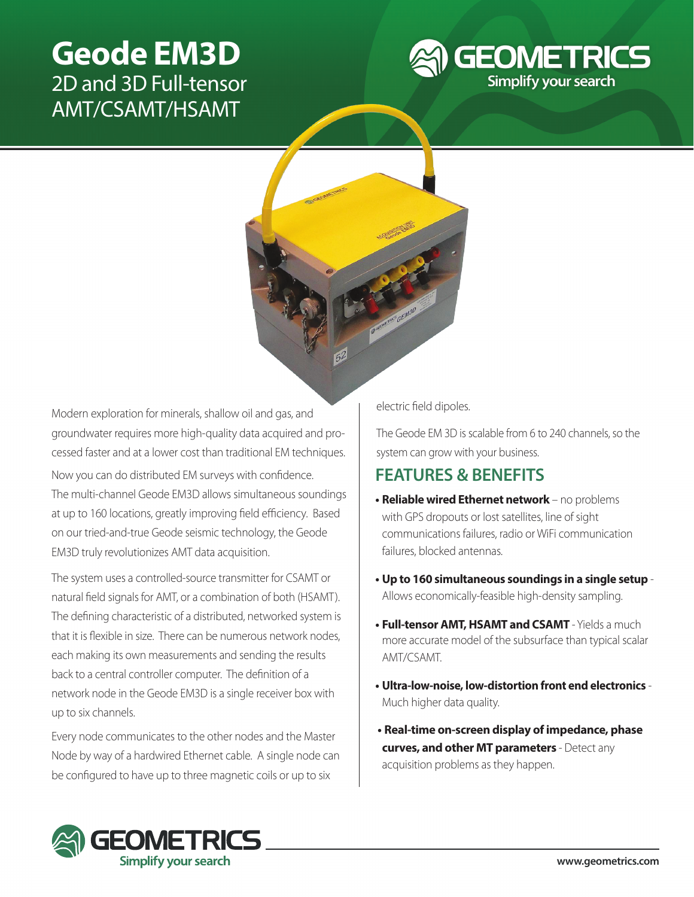# **Geode EM3D**  2D and 3D Full-tensor AMT/CSAMT/HSAMT





Modern exploration for minerals, shallow oil and gas, and groundwater requires more high-quality data acquired and processed faster and at a lower cost than traditional EM techniques.

Now you can do distributed EM surveys with confidence. The multi-channel Geode EM3D allows simultaneous soundings at up to 160 locations, greatly improving field efficiency. Based on our tried-and-true Geode seismic technology, the Geode EM3D truly revolutionizes AMT data acquisition.

The system uses a controlled-source transmitter for CSAMT or natural field signals for AMT, or a combination of both (HSAMT). The defining characteristic of a distributed, networked system is that it is flexible in size. There can be numerous network nodes, each making its own measurements and sending the results back to a central controller computer. The definition of a network node in the Geode EM3D is a single receiver box with up to six channels.

Every node communicates to the other nodes and the Master Node by way of a hardwired Ethernet cable. A single node can be configured to have up to three magnetic coils or up to six

electric field dipoles.

The Geode EM 3D is scalable from 6 to 240 channels, so the system can grow with your business.

### **FEATURES & BENEFITS**

- **• Reliable wired Ethernet network** no problems with GPS dropouts or lost satellites, line of sight communications failures, radio or WiFi communication failures, blocked antennas.
- **• Up to 160 simultaneous soundings in a single setup** Allows economically-feasible high-density sampling.
- **• Full-tensor AMT, HSAMT and CSAMT**  Yields a much more accurate model of the subsurface than typical scalar AMT/CSAMT.
- **• Ultra-low-noise, low-distortion front end electronics** Much higher data quality.
- **Real-time on-screen display of impedance, phase curves, and other MT parameters** - Detect any acquisition problems as they happen.